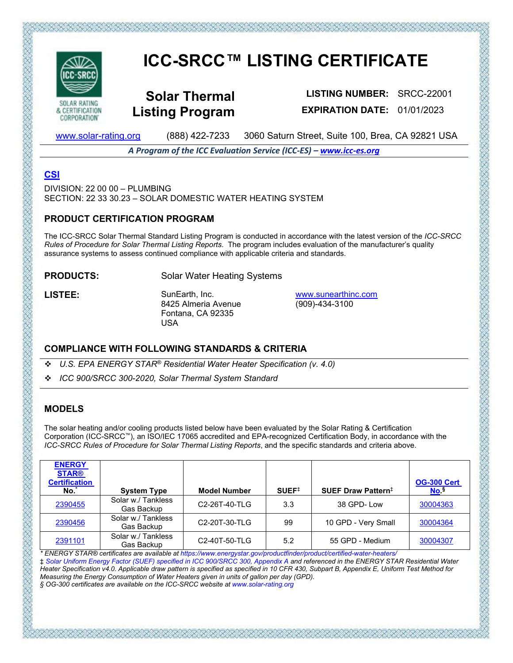

CORPORATION'

# **ICC-SRCC™ LISTING CERTIFICATE**

**Solar Thermal Listing Program**

**LISTING NUMBER:** SRCC-22001 **EXPIRATION DATE:** 01/01/2023

[www.solar-rating.org](http://www.solar-rating.org/) (888) 422-7233 3060 Saturn Street, Suite 100, Brea, CA 92821 USA

*A Program of the ICC Evaluation Service (ICC-ES) – [www.icc-es.org](http://www.icc-es.org/)*

## **[CSI](http://www.masterformat.com/revisions/)**

 $DIVISION: 22,00,00 - PI UMRING$ SECTION: 22 33 30.23 – SOLAR DOMESTIC WATER HEATING SYSTEM

### **PRODUCT CERTIFICATION PROGRAM**

The ICC-SRCC Solar Thermal Standard Listing Program is conducted in accordance with the latest version of the *ICC-SRCC Rules of Procedure for Solar Thermal Listing Reports*. The program includes evaluation of the manufacturer's quality assurance systems to assess continued compliance with applicable criteria and standards.

**PRODUCTS:** Solar Water Heating Systems

LISTEE: SunEarth, Inc. 8425 Almeria Avenue Fontana, CA 92335 USA

[www.sunearthinc.com](http://www.sunearthinc.com/) (909)-434-3100

## **COMPLIANCE WITH FOLLOWING STANDARDS & CRITERIA**

- *U.S. EPA ENERGY STAR® Residential Water Heater Specification (v. 4.0)*
- *ICC 900/SRCC 300-2020, Solar Thermal System Standard*

## **MODELS**

The solar heating and/or cooling products listed below have been evaluated by the Solar Rating & Certification Corporation (ICC-SRCC™), an ISO/IEC 17065 accredited and EPA-recognized Certification Body, in accordance with the *ICC-SRCC Rules of Procedure for Solar Thermal Listing Reports*, and the specific standards and criteria above.

| <b>ENERGY</b><br><b>STAR®</b><br><b>Certification</b><br>No.* | <b>System Type</b>               | <b>Model Number</b>        | SUEF <sup>‡</sup> | SUEF Draw Pattern <sup>‡</sup> | <b>OG-300 Cert</b><br>No. <sup>§</sup> |
|---------------------------------------------------------------|----------------------------------|----------------------------|-------------------|--------------------------------|----------------------------------------|
| 2390455                                                       | Solar w./ Tankless<br>Gas Backup | C2-26T-40-TLG              | 3.3               | 38 GPD-Low                     | 30004363                               |
| 2390456                                                       | Solar w./ Tankless<br>Gas Backup | C <sub>2</sub> -20T-30-TLG | 99                | 10 GPD - Very Small            | 30004364                               |
| 2391101                                                       | Solar w./ Tankless<br>Gas Backup | C2-40T-50-TLG              | 5.2               | 55 GPD - Medium                | 30004307                               |

*\* ENERGY STAR® certificates are available at https://www.energystar.gov/productfinder/product/certified-water-heaters/*  ‡ *Solar Uniform Energy Factor (SUEF) specified in ICC 900/SRCC 300, Appendix A and referenced in the ENERGY STAR Residential Water Heater Specification v4.0. Applicable draw pattern is specified as specified in 10 CFR 430, Subpart B, Appendix E, Uniform Test Method for Measuring the Energy Consumption of Water Heaters given in units of gallon per day (GPD).* 

てだいごだいだいだいだいでんだいだいがたいだいだいだいがく かいだいだい

*§ OG-300 certificates are available on the ICC-SRCC website at www.solar-rating.org*